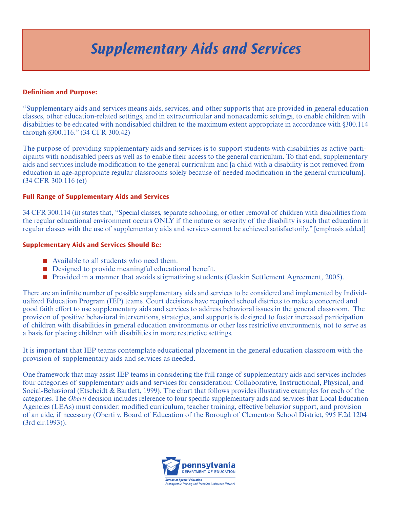# *Supplementary Aids and Services*

## **Definition and Purpose:**

"Supplementary aids and services means aids, services, and other supports that are provided in general education classes, other education-related settings, and in extracurricular and nonacademic settings, to enable children with disabilities to be educated with nondisabled children to the maximum extent appropriate in accordance with §300.114 through §300.116." (34 CFR 300.42)

The purpose of providing supplementary aids and services is to support students with disabilities as active participants with nondisabled peers as well as to enable their access to the general curriculum. To that end, supplementary aids and services include modification to the general curriculum and [a child with a disability is not removed from education in age-appropriate regular classrooms solely because of needed modification in the general curriculum]. (34 CFR 300.116 (e))

### **Full Range of Supplementary Aids and Services**

34 CFR 300.114 (ii) states that, "Special classes, separate schooling, or other removal of children with disabilities from the regular educational environment occurs ONLY if the nature or severity of the disability is such that education in regular classes with the use of supplementary aids and services cannot be achieved satisfactorily." [emphasis added]

#### **Supplementary Aids and Services Should Be:**

- $\blacksquare$  Available to all students who need them.
- $\blacksquare$  Designed to provide meaningful educational benefit.
- n Provided in a manner that avoids stigmatizing students (Gaskin Settlement Agreement, 2005).

There are an infinite number of possible supplementary aids and services to be considered and implemented by Individualized Education Program (IEP) teams. Court decisions have required school districts to make a concerted and good faith effort to use supplementary aids and services to address behavioral issues in the general classroom. The provision of positive behavioral interventions, strategies, and supports is designed to foster increased participation of children with disabilities in general education environments or other less restrictive environments, not to serve as a basis for placing children with disabilities in more restrictive settings.

It is important that IEP teams contemplate educational placement in the general education classroom with the provision of supplementary aids and services as needed.

One framework that may assist IEP teams in considering the full range of supplementary aids and services includes four categories of supplementary aids and services for consideration: Collaborative, Instructional, Physical, and Social-Behavioral (Etscheidt & Bartlett, 1999). The chart that follows provides illustrative examples for each of the categories. The *Oberti* decision includes reference to four specific supplementary aids and services that Local Education Agencies (LEAs) must consider: modified curriculum, teacher training, effective behavior support, and provision of an aide, if necessary (Oberti v. Board of Education of the Borough of Clementon School District, 995 F.2d 1204 (3rd cir.1993)).